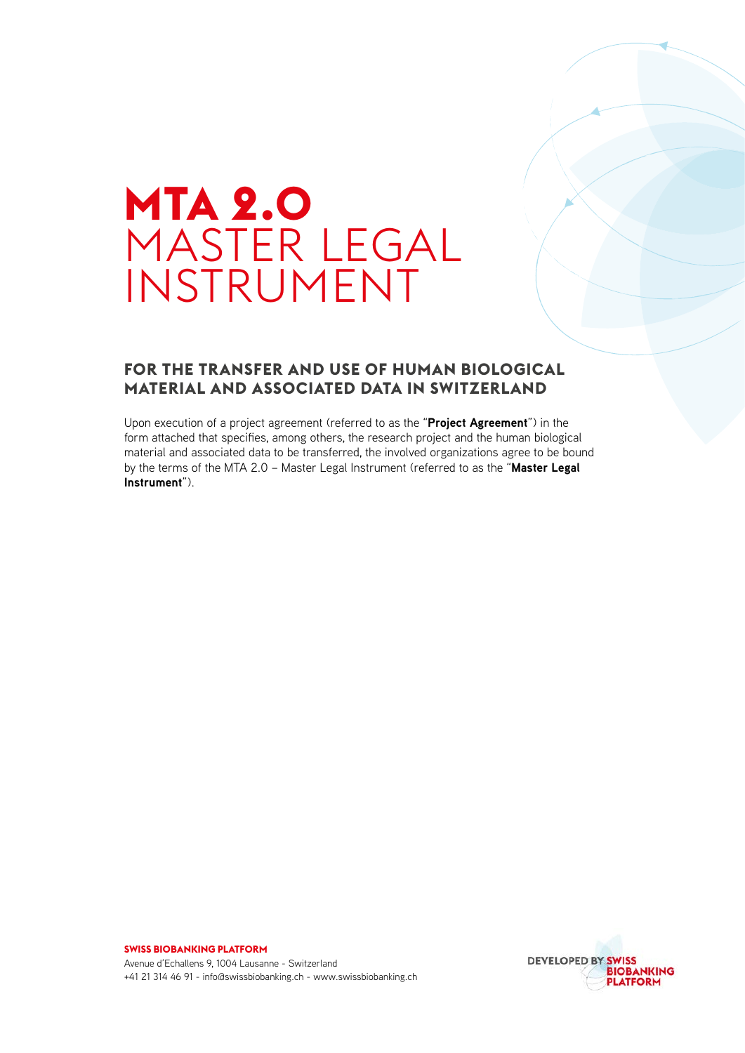# **MTA 2.0**  MASTER LEGAL INSTRUMENT

#### **FOR THE TRANSFER AND USE OF HUMAN BIOLOGICAL MATERIAL AND ASSOCIATED DATA IN SWITZERLAND**

Upon execution of a project agreement (referred to as the "**Project Agreement**") in the form attached that specifies, among others, the research project and the human biological material and associated data to be transferred, the involved organizations agree to be bound by the terms of the MTA 2.0 – Master Legal Instrument (referred to as the "**Master Legal Instrument**").



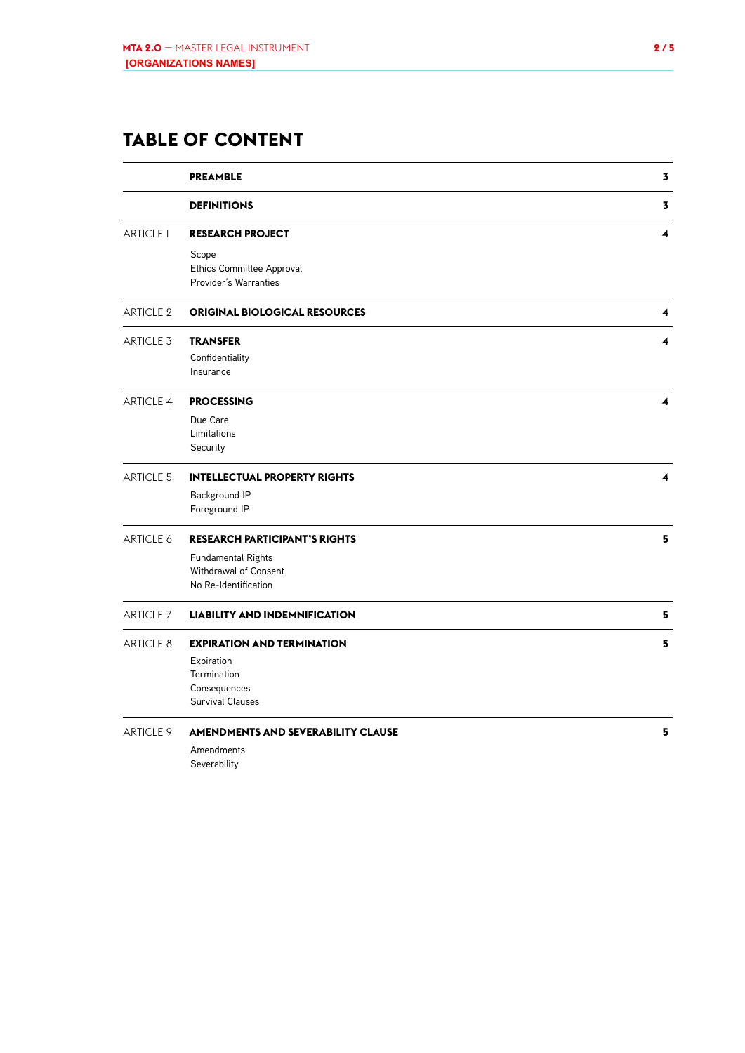# **TABLE OF CONTENT**

|                  | <b>PREAMBLE</b>                                             | 3 |
|------------------|-------------------------------------------------------------|---|
|                  | <b>DEFINITIONS</b>                                          | 3 |
| <b>ARTICLE I</b> | <b>RESEARCH PROJECT</b>                                     | 4 |
|                  | Scope<br>Ethics Committee Approval<br>Provider's Warranties |   |
| <b>ARTICLE 2</b> | <b>ORIGINAL BIOLOGICAL RESOURCES</b>                        | 4 |
| <b>ARTICLE 3</b> | <b>TRANSFER</b>                                             | 4 |
|                  | Confidentiality                                             |   |
|                  | Insurance                                                   |   |
| <b>ARTICLE 4</b> | <b>PROCESSING</b>                                           | 4 |
|                  | Due Care                                                    |   |
|                  | Limitations                                                 |   |
|                  | Security                                                    |   |
| <b>ARTICLE 5</b> | <b>INTELLECTUAL PROPERTY RIGHTS</b>                         | 4 |
|                  | Background IP                                               |   |
|                  | Foreground IP                                               |   |
| ARTICLE 6        | <b>RESEARCH PARTICIPANT'S RIGHTS</b>                        | 5 |
|                  | Fundamental Rights                                          |   |
|                  | Withdrawal of Consent                                       |   |
|                  | No Re-Identification                                        |   |
| <b>ARTICLE 7</b> | <b>LIABILITY AND INDEMNIFICATION</b>                        | 5 |
| ARTICLE 8        | <b>EXPIRATION AND TERMINATION</b>                           | 5 |
|                  | Expiration                                                  |   |
|                  | Termination                                                 |   |
|                  | Consequences                                                |   |
|                  | <b>Survival Clauses</b>                                     |   |
| ARTICLE 9        | <b>AMENDMENTS AND SEVERABILITY CLAUSE</b>                   | 5 |
|                  | Amendments                                                  |   |

Severability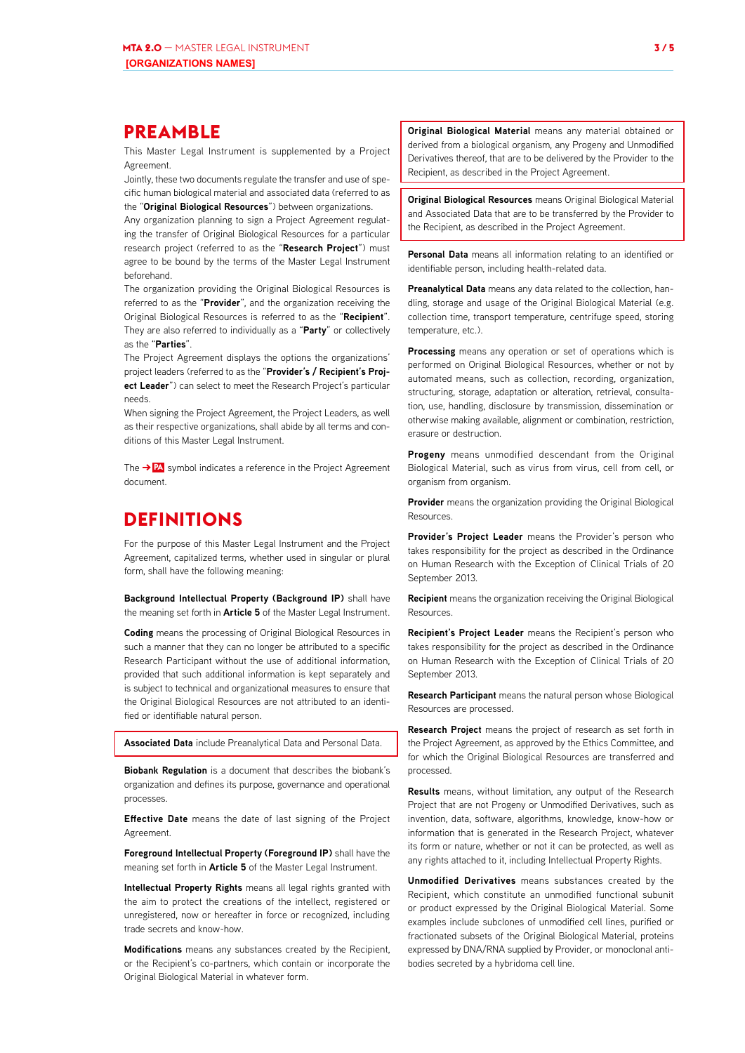#### <span id="page-2-0"></span>**PREAMBLE**

This Master Legal Instrument is supplemented by a Project Agreement.

Jointly, these two documents regulate the transfer and use of specific human biological material and associated data (referred to as the "**Original Biological Resources**") between organizations.

Any organization planning to sign a Project Agreement regulating the transfer of Original Biological Resources for a particular research project (referred to as the "**Research Project**") must agree to be bound by the terms of the Master Legal Instrument beforehand.

The organization providing the Original Biological Resources is referred to as the "**Provider**", and the organization receiving the Original Biological Resources is referred to as the "**Recipient**". They are also referred to individually as a "**Party**" or collectively as the "**Parties**".

The Project Agreement displays the options the organizations' project leaders (referred to as the "**Provider's / Recipient's Project Leader**") can select to meet the Research Project's particular needs.

When signing the Project Agreement, the Project Leaders, as well as their respective organizations, shall abide by all terms and conditions of this Master Legal Instrument.

The **PA** symbol indicates a reference in the Project Agreement document.

## **DEFINITIONS**

For the purpose of this Master Legal Instrument and the Project Agreement, capitalized terms, whether used in singular or plural form, shall have the following meaning:

**Background Intellectual Property (Background IP)** shall have the meaning set forth in **Article 5** of the Master Legal Instrument.

**Coding** means the processing of Original Biological Resources in such a manner that they can no longer be attributed to a specific Research Participant without the use of additional information, provided that such additional information is kept separately and is subject to technical and organizational measures to ensure that the Original Biological Resources are not attributed to an identified or identifiable natural person.

**Associated Data** include Preanalytical Data and Personal Data.

**Biobank Regulation** is a document that describes the biobank's organization and defines its purpose, governance and operational processes.

**Effective Date** means the date of last signing of the Project Agreement.

**Foreground Intellectual Property (Foreground IP)** shall have the meaning set forth in **Article 5** of the Master Legal Instrument.

**Intellectual Property Rights** means all legal rights granted with the aim to protect the creations of the intellect, registered or unregistered, now or hereafter in force or recognized, including trade secrets and know-how.

**Modifications** means any substances created by the Recipient, or the Recipient's co-partners, which contain or incorporate the Original Biological Material in whatever form.

**Original Biological Material** means any material obtained or derived from a biological organism, any Progeny and Unmodified Derivatives thereof, that are to be delivered by the Provider to the Recipient, as described in the Project Agreement.

**Original Biological Resources** means Original Biological Material and Associated Data that are to be transferred by the Provider to the Recipient, as described in the Project Agreement.

**Personal Data** means all information relating to an identified or identifiable person, including health-related data.

**Preanalytical Data** means any data related to the collection, handling, storage and usage of the Original Biological Material (e.g. collection time, transport temperature, centrifuge speed, storing temperature, etc.).

**Processing** means any operation or set of operations which is performed on Original Biological Resources, whether or not by automated means, such as collection, recording, organization, structuring, storage, adaptation or alteration, retrieval, consultation, use, handling, disclosure by transmission, dissemination or otherwise making available, alignment or combination, restriction, erasure or destruction.

**Progeny** means unmodified descendant from the Original Biological Material, such as virus from virus, cell from cell, or organism from organism.

**Provider** means the organization providing the Original Biological Resources.

**Provider's Project Leader** means the Provider's person who takes responsibility for the project as described in the Ordinance on Human Research with the Exception of Clinical Trials of 20 September 2013.

**Recipient** means the organization receiving the Original Biological Resources.

**Recipient's Project Leader** means the Recipient's person who takes responsibility for the project as described in the Ordinance on Human Research with the Exception of Clinical Trials of 20 September 2013.

**Research Participant** means the natural person whose Biological Resources are processed.

**Research Project** means the project of research as set forth in the Project Agreement, as approved by the Ethics Committee, and for which the Original Biological Resources are transferred and processed.

**Results** means, without limitation, any output of the Research Project that are not Progeny or Unmodified Derivatives, such as invention, data, software, algorithms, knowledge, know-how or information that is generated in the Research Project, whatever its form or nature, whether or not it can be protected, as well as any rights attached to it, including Intellectual Property Rights.

**Unmodified Derivatives** means substances created by the Recipient, which constitute an unmodified functional subunit or product expressed by the Original Biological Material. Some examples include subclones of unmodified cell lines, purified or fractionated subsets of the Original Biological Material, proteins expressed by DNA/RNA supplied by Provider, or monoclonal antibodies secreted by a hybridoma cell line.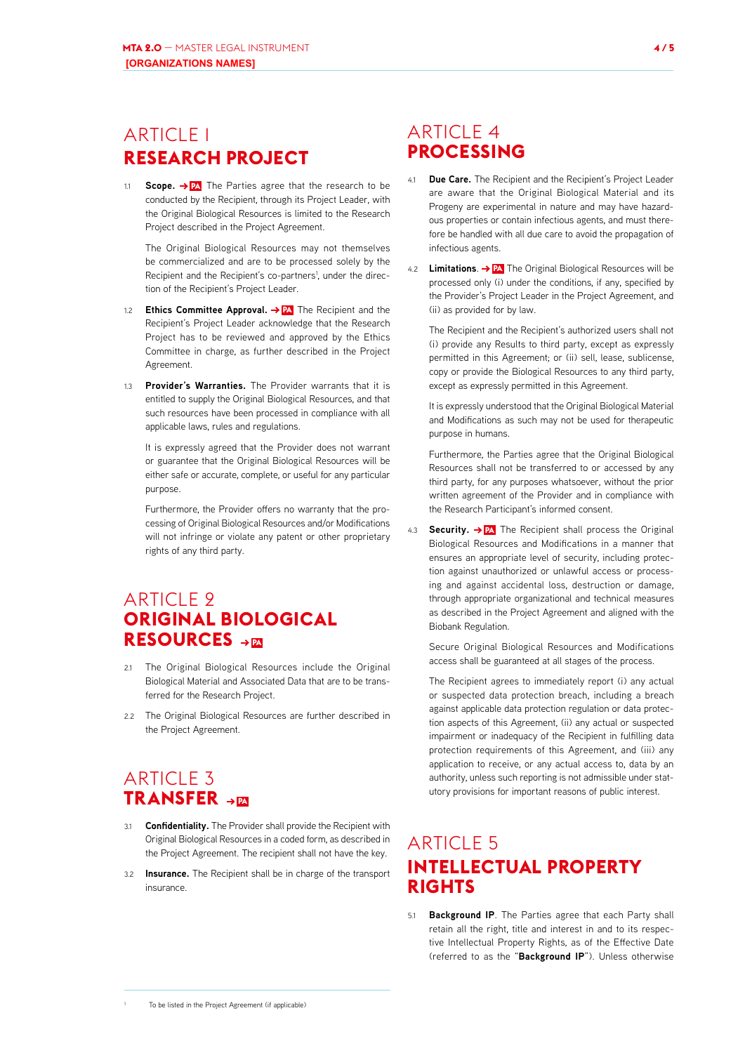# <span id="page-3-0"></span>ARTICLE 1 **RESEARCH PROJECT**

**Scope. → PA** The Parties agree that the research to be conducted by the Recipient, through its Project Leader, with the Original Biological Resources is limited to the Research Project described in the Project Agreement.

The Original Biological Resources may not themselves be commercialized and are to be processed solely by the Recipient and the Recipient's co-partners<sup>1</sup>, under the direction of the Recipient's Project Leader.

- 1.2 **Ethics Committee Approval. PA** The Recipient and the Recipient's Project Leader acknowledge that the Research Project has to be reviewed and approved by the Ethics Committee in charge, as further described in the Project Agreement.
- 1.3 **Provider's Warranties.** The Provider warrants that it is entitled to supply the Original Biological Resources, and that such resources have been processed in compliance with all applicable laws, rules and regulations.

It is expressly agreed that the Provider does not warrant or guarantee that the Original Biological Resources will be either safe or accurate, complete, or useful for any particular purpose.

Furthermore, the Provider offers no warranty that the processing of Original Biological Resources and/or Modifications will not infringe or violate any patent or other proprietary rights of any third party.

# **ARTICLE 9 ORIGINAL BIOLOGICAL RESOURCES**  $\rightarrow$

- 2.1 The Original Biological Resources include the Original Biological Material and Associated Data that are to be transferred for the Research Project.
- 2.2 The Original Biological Resources are further described in the Project Agreement.

# **ARTICLE 3 TRANSFER >PA**

- 3.1 **Confidentiality.** The Provider shall provide the Recipient with Original Biological Resources in a coded form, as described in the Project Agreement. The recipient shall not have the key.
- 3.2 **Insurance.** The Recipient shall be in charge of the transport insurance.

# ARTICLE 4 **PROCESSING**

- 4.1 **Due Care.** The Recipient and the Recipient's Project Leader are aware that the Original Biological Material and its Progeny are experimental in nature and may have hazardous properties or contain infectious agents, and must therefore be handled with all due care to avoid the propagation of infectious agents.
- 4.2 **Limitations**. **PA** The Original Biological Resources will be processed only (i) under the conditions, if any, specified by the Provider's Project Leader in the Project Agreement, and (ii) as provided for by law.

The Recipient and the Recipient's authorized users shall not (i) provide any Results to third party, except as expressly permitted in this Agreement; or (ii) sell, lease, sublicense, copy or provide the Biological Resources to any third party, except as expressly permitted in this Agreement.

It is expressly understood that the Original Biological Material and Modifications as such may not be used for therapeutic purpose in humans.

Furthermore, the Parties agree that the Original Biological Resources shall not be transferred to or accessed by any third party, for any purposes whatsoever, without the prior written agreement of the Provider and in compliance with the Research Participant's informed consent.

4.3 **Security. PA** The Recipient shall process the Original Biological Resources and Modifications in a manner that ensures an appropriate level of security, including protection against unauthorized or unlawful access or processing and against accidental loss, destruction or damage, through appropriate organizational and technical measures as described in the Project Agreement and aligned with the Biobank Regulation.

Secure Original Biological Resources and Modifications access shall be guaranteed at all stages of the process.

The Recipient agrees to immediately report (i) any actual or suspected data protection breach, including a breach against applicable data protection regulation or data protection aspects of this Agreement, (ii) any actual or suspected impairment or inadequacy of the Recipient in fulfilling data protection requirements of this Agreement, and (iii) any application to receive, or any actual access to, data by an authority, unless such reporting is not admissible under statutory provisions for important reasons of public interest.

# **ARTICLE 5 INTELLECTUAL PROPERTY RIGHTS**

5.1 **Background IP**. The Parties agree that each Party shall retain all the right, title and interest in and to its respective Intellectual Property Rights, as of the Effective Date (referred to as the "**Background IP**"). Unless otherwise